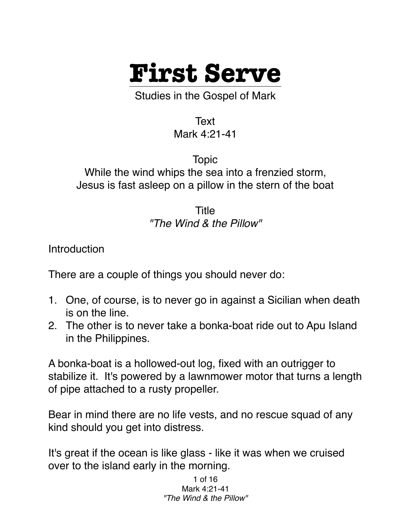

Studies in the Gospel of Mark

Text Mark 4:21-41

Topic While the wind whips the sea into a frenzied storm, Jesus is fast asleep on a pillow in the stern of the boat

> Title *"The Wind & the Pillow"*

**Introduction** 

There are a couple of things you should never do:

- 1. One, of course, is to never go in against a Sicilian when death is on the line.
- 2. The other is to never take a bonka-boat ride out to Apu Island in the Philippines.

A bonka-boat is a hollowed-out log, fixed with an outrigger to stabilize it. It's powered by a lawnmower motor that turns a length of pipe attached to a rusty propeller.

Bear in mind there are no life vests, and no rescue squad of any kind should you get into distress.

It's great if the ocean is like glass - like it was when we cruised over to the island early in the morning.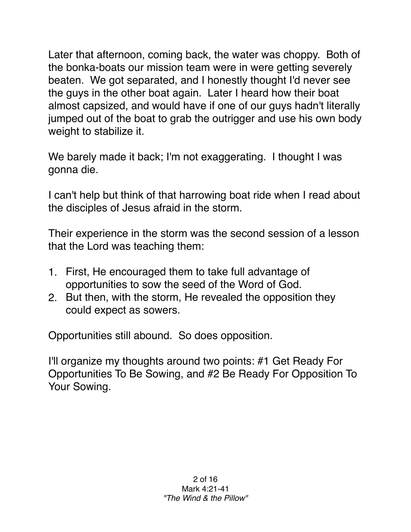Later that afternoon, coming back, the water was choppy. Both of the bonka-boats our mission team were in were getting severely beaten. We got separated, and I honestly thought I'd never see the guys in the other boat again. Later I heard how their boat almost capsized, and would have if one of our guys hadn't literally jumped out of the boat to grab the outrigger and use his own body weight to stabilize it.

We barely made it back; I'm not exaggerating. I thought I was gonna die.

I can't help but think of that harrowing boat ride when I read about the disciples of Jesus afraid in the storm.

Their experience in the storm was the second session of a lesson that the Lord was teaching them:

- 1. First, He encouraged them to take full advantage of opportunities to sow the seed of the Word of God.
- 2. But then, with the storm, He revealed the opposition they could expect as sowers.

Opportunities still abound. So does opposition.

I'll organize my thoughts around two points: #1 Get Ready For Opportunities To Be Sowing, and #2 Be Ready For Opposition To Your Sowing.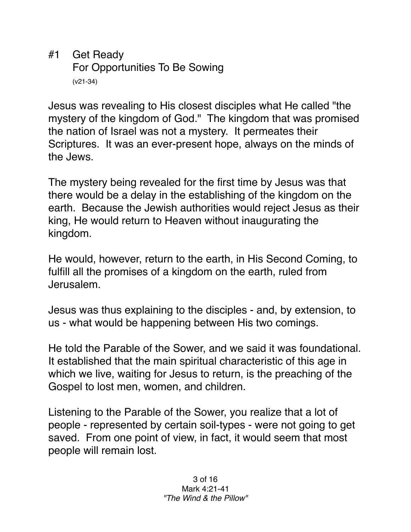#1 Get Ready For Opportunities To Be Sowing (v21-34)

Jesus was revealing to His closest disciples what He called "the mystery of the kingdom of God." The kingdom that was promised the nation of Israel was not a mystery. It permeates their Scriptures. It was an ever-present hope, always on the minds of the Jews.

The mystery being revealed for the first time by Jesus was that there would be a delay in the establishing of the kingdom on the earth. Because the Jewish authorities would reject Jesus as their king, He would return to Heaven without inaugurating the kingdom.

He would, however, return to the earth, in His Second Coming, to fulfill all the promises of a kingdom on the earth, ruled from Jerusalem.

Jesus was thus explaining to the disciples - and, by extension, to us - what would be happening between His two comings.

He told the Parable of the Sower, and we said it was foundational. It established that the main spiritual characteristic of this age in which we live, waiting for Jesus to return, is the preaching of the Gospel to lost men, women, and children.

Listening to the Parable of the Sower, you realize that a lot of people - represented by certain soil-types - were not going to get saved. From one point of view, in fact, it would seem that most people will remain lost.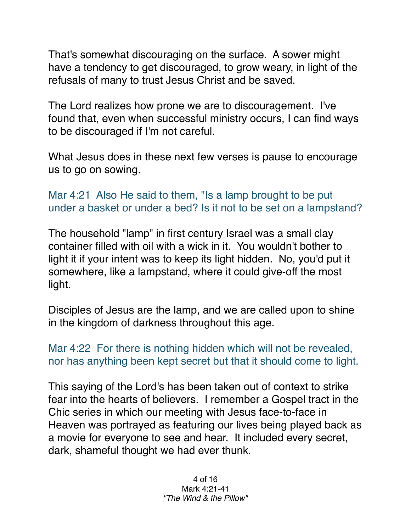That's somewhat discouraging on the surface. A sower might have a tendency to get discouraged, to grow weary, in light of the refusals of many to trust Jesus Christ and be saved.

The Lord realizes how prone we are to discouragement. I've found that, even when successful ministry occurs, I can find ways to be discouraged if I'm not careful.

What Jesus does in these next few verses is pause to encourage us to go on sowing.

Mar 4:21 Also He said to them, "Is a lamp brought to be put under a basket or under a bed? Is it not to be set on a lampstand?

The household "lamp" in first century Israel was a small clay container filled with oil with a wick in it. You wouldn't bother to light it if your intent was to keep its light hidden. No, you'd put it somewhere, like a lampstand, where it could give-off the most light.

Disciples of Jesus are the lamp, and we are called upon to shine in the kingdom of darkness throughout this age.

Mar 4:22 For there is nothing hidden which will not be revealed, nor has anything been kept secret but that it should come to light.

This saying of the Lord's has been taken out of context to strike fear into the hearts of believers. I remember a Gospel tract in the Chic series in which our meeting with Jesus face-to-face in Heaven was portrayed as featuring our lives being played back as a movie for everyone to see and hear. It included every secret, dark, shameful thought we had ever thunk.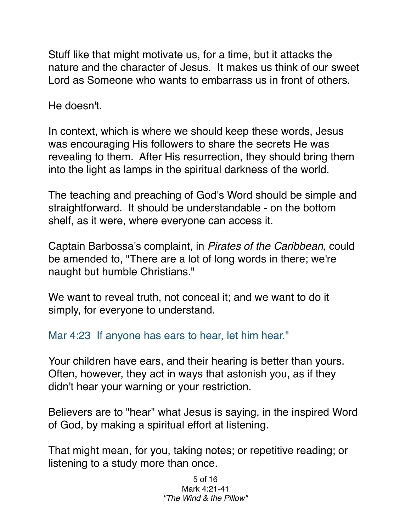Stuff like that might motivate us, for a time, but it attacks the nature and the character of Jesus. It makes us think of our sweet Lord as Someone who wants to embarrass us in front of others.

He doesn't.

In context, which is where we should keep these words, Jesus was encouraging His followers to share the secrets He was revealing to them. After His resurrection, they should bring them into the light as lamps in the spiritual darkness of the world.

The teaching and preaching of God's Word should be simple and straightforward. It should be understandable - on the bottom shelf, as it were, where everyone can access it.

Captain Barbossa's complaint, in *Pirates of the Caribbean,* could be amended to, "There are a lot of long words in there; we're naught but humble Christians."

We want to reveal truth, not conceal it; and we want to do it simply, for everyone to understand.

Mar 4:23 If anyone has ears to hear, let him hear."

Your children have ears, and their hearing is better than yours. Often, however, they act in ways that astonish you, as if they didn't hear your warning or your restriction.

Believers are to "hear" what Jesus is saying, in the inspired Word of God, by making a spiritual effort at listening.

That might mean, for you, taking notes; or repetitive reading; or listening to a study more than once.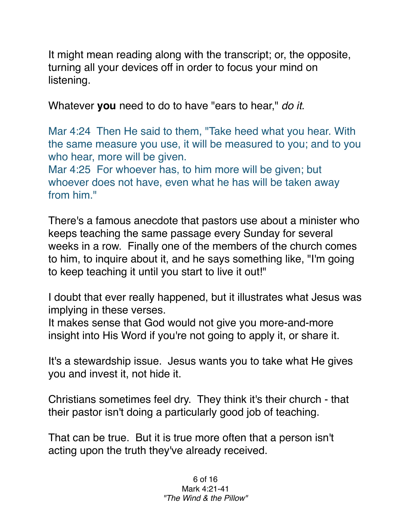It might mean reading along with the transcript; or, the opposite, turning all your devices off in order to focus your mind on listening.

Whatever **you** need to do to have "ears to hear," *do it.*

Mar 4:24 Then He said to them, "Take heed what you hear. With the same measure you use, it will be measured to you; and to you who hear, more will be given.

Mar 4:25 For whoever has, to him more will be given; but whoever does not have, even what he has will be taken away from him."

There's a famous anecdote that pastors use about a minister who keeps teaching the same passage every Sunday for several weeks in a row. Finally one of the members of the church comes to him, to inquire about it, and he says something like, "I'm going to keep teaching it until you start to live it out!"

I doubt that ever really happened, but it illustrates what Jesus was implying in these verses.

It makes sense that God would not give you more-and-more insight into His Word if you're not going to apply it, or share it.

It's a stewardship issue. Jesus wants you to take what He gives you and invest it, not hide it.

Christians sometimes feel dry. They think it's their church - that their pastor isn't doing a particularly good job of teaching.

That can be true. But it is true more often that a person isn't acting upon the truth they've already received.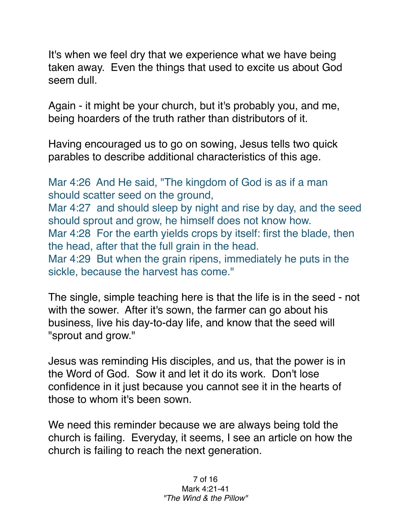It's when we feel dry that we experience what we have being taken away. Even the things that used to excite us about God seem dull.

Again - it might be your church, but it's probably you, and me, being hoarders of the truth rather than distributors of it.

Having encouraged us to go on sowing, Jesus tells two quick parables to describe additional characteristics of this age.

Mar 4:26 And He said, "The kingdom of God is as if a man should scatter seed on the ground, Mar 4:27 and should sleep by night and rise by day, and the seed should sprout and grow, he himself does not know how. Mar 4:28 For the earth yields crops by itself: first the blade, then the head, after that the full grain in the head. Mar 4:29 But when the grain ripens, immediately he puts in the sickle, because the harvest has come."

The single, simple teaching here is that the life is in the seed - not with the sower. After it's sown, the farmer can go about his business, live his day-to-day life, and know that the seed will "sprout and grow."

Jesus was reminding His disciples, and us, that the power is in the Word of God. Sow it and let it do its work. Don't lose confidence in it just because you cannot see it in the hearts of those to whom it's been sown.

We need this reminder because we are always being told the church is failing. Everyday, it seems, I see an article on how the church is failing to reach the next generation.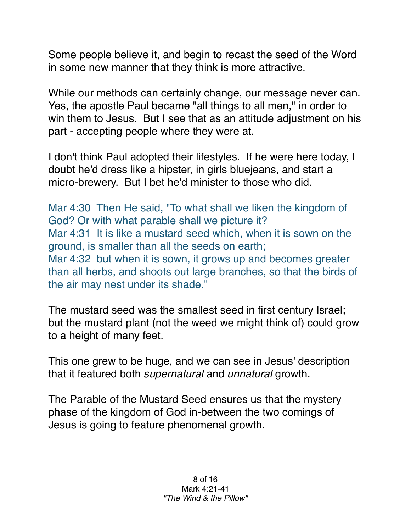Some people believe it, and begin to recast the seed of the Word in some new manner that they think is more attractive.

While our methods can certainly change, our message never can. Yes, the apostle Paul became "all things to all men," in order to win them to Jesus. But I see that as an attitude adjustment on his part - accepting people where they were at.

I don't think Paul adopted their lifestyles. If he were here today, I doubt he'd dress like a hipster, in girls bluejeans, and start a micro-brewery. But I bet he'd minister to those who did.

Mar 4:30 Then He said, "To what shall we liken the kingdom of God? Or with what parable shall we picture it? Mar 4:31 It is like a mustard seed which, when it is sown on the ground, is smaller than all the seeds on earth; Mar 4:32 but when it is sown, it grows up and becomes greater than all herbs, and shoots out large branches, so that the birds of the air may nest under its shade."

The mustard seed was the smallest seed in first century Israel; but the mustard plant (not the weed we might think of) could grow to a height of many feet.

This one grew to be huge, and we can see in Jesus' description that it featured both *supernatural* and *unnatural* growth.

The Parable of the Mustard Seed ensures us that the mystery phase of the kingdom of God in-between the two comings of Jesus is going to feature phenomenal growth.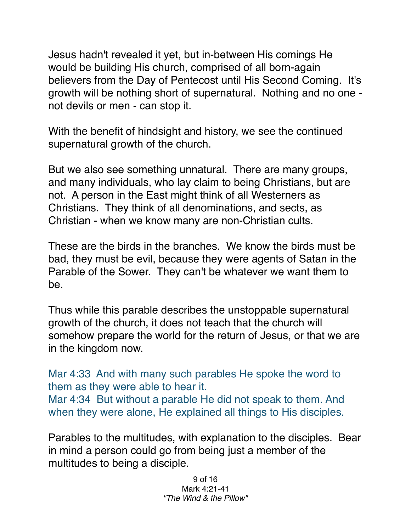Jesus hadn't revealed it yet, but in-between His comings He would be building His church, comprised of all born-again believers from the Day of Pentecost until His Second Coming. It's growth will be nothing short of supernatural. Nothing and no one not devils or men - can stop it.

With the benefit of hindsight and history, we see the continued supernatural growth of the church.

But we also see something unnatural. There are many groups, and many individuals, who lay claim to being Christians, but are not. A person in the East might think of all Westerners as Christians. They think of all denominations, and sects, as Christian - when we know many are non-Christian cults.

These are the birds in the branches. We know the birds must be bad, they must be evil, because they were agents of Satan in the Parable of the Sower. They can't be whatever we want them to be.

Thus while this parable describes the unstoppable supernatural growth of the church, it does not teach that the church will somehow prepare the world for the return of Jesus, or that we are in the kingdom now.

Mar 4:33 And with many such parables He spoke the word to them as they were able to hear it. Mar 4:34 But without a parable He did not speak to them. And when they were alone, He explained all things to His disciples.

Parables to the multitudes, with explanation to the disciples. Bear in mind a person could go from being just a member of the multitudes to being a disciple.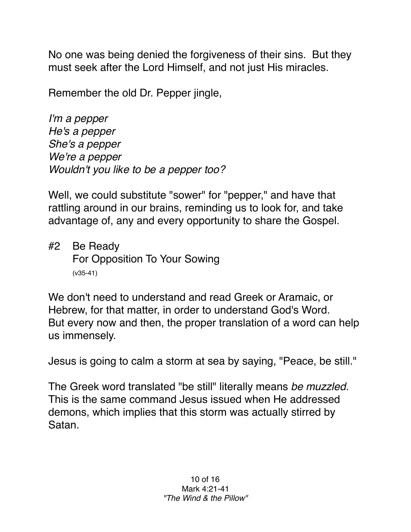No one was being denied the forgiveness of their sins. But they must seek after the Lord Himself, and not just His miracles.

Remember the old Dr. Pepper jingle,

*I'm a pepper He's a pepper She's a pepper We're a pepper Wouldn't you like to be a pepper too?*

Well, we could substitute "sower" for "pepper," and have that rattling around in our brains, reminding us to look for, and take advantage of, any and every opportunity to share the Gospel.

#2 Be Ready For Opposition To Your Sowing (v35-41)

We don't need to understand and read Greek or Aramaic, or Hebrew, for that matter, in order to understand God's Word. But every now and then, the proper translation of a word can help us immensely.

Jesus is going to calm a storm at sea by saying, "Peace, be still."

The Greek word translated "be still" literally means *be muzzled.* This is the same command Jesus issued when He addressed demons, which implies that this storm was actually stirred by Satan.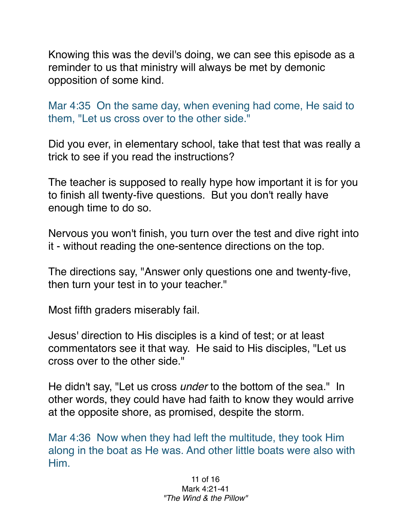Knowing this was the devil's doing, we can see this episode as a reminder to us that ministry will always be met by demonic opposition of some kind.

Mar 4:35 On the same day, when evening had come, He said to them, "Let us cross over to the other side."

Did you ever, in elementary school, take that test that was really a trick to see if you read the instructions?

The teacher is supposed to really hype how important it is for you to finish all twenty-five questions. But you don't really have enough time to do so.

Nervous you won't finish, you turn over the test and dive right into it - without reading the one-sentence directions on the top.

The directions say, "Answer only questions one and twenty-five, then turn your test in to your teacher."

Most fifth graders miserably fail.

Jesus' direction to His disciples is a kind of test; or at least commentators see it that way. He said to His disciples, "Let us cross over to the other side."

He didn't say, "Let us cross *under* to the bottom of the sea." In other words, they could have had faith to know they would arrive at the opposite shore, as promised, despite the storm.

Mar 4:36 Now when they had left the multitude, they took Him along in the boat as He was. And other little boats were also with Him.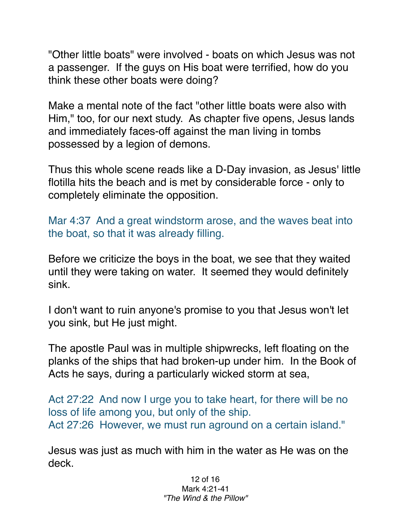"Other little boats" were involved - boats on which Jesus was not a passenger. If the guys on His boat were terrified, how do you think these other boats were doing?

Make a mental note of the fact "other little boats were also with Him," too, for our next study. As chapter five opens, Jesus lands and immediately faces-off against the man living in tombs possessed by a legion of demons.

Thus this whole scene reads like a D-Day invasion, as Jesus' little flotilla hits the beach and is met by considerable force - only to completely eliminate the opposition.

Mar 4:37 And a great windstorm arose, and the waves beat into the boat, so that it was already filling.

Before we criticize the boys in the boat, we see that they waited until they were taking on water. It seemed they would definitely sink.

I don't want to ruin anyone's promise to you that Jesus won't let you sink, but He just might.

The apostle Paul was in multiple shipwrecks, left floating on the planks of the ships that had broken-up under him. In the Book of Acts he says, during a particularly wicked storm at sea,

Act 27:22 And now I urge you to take heart, for there will be no loss of life among you, but only of the ship. Act 27:26 However, we must run aground on a certain island."

Jesus was just as much with him in the water as He was on the deck.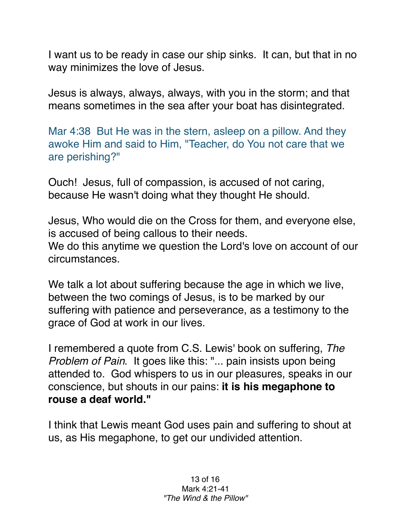I want us to be ready in case our ship sinks. It can, but that in no way minimizes the love of Jesus.

Jesus is always, always, always, with you in the storm; and that means sometimes in the sea after your boat has disintegrated.

Mar 4:38 But He was in the stern, asleep on a pillow. And they awoke Him and said to Him, "Teacher, do You not care that we are perishing?"

Ouch! Jesus, full of compassion, is accused of not caring, because He wasn't doing what they thought He should.

Jesus, Who would die on the Cross for them, and everyone else, is accused of being callous to their needs. We do this anytime we question the Lord's love on account of our circumstances.

We talk a lot about suffering because the age in which we live, between the two comings of Jesus, is to be marked by our suffering with patience and perseverance, as a testimony to the grace of God at work in our lives.

I remembered a quote from C.S. Lewis' book on suffering, *The Problem of Pain.* It goes like this: "... pain insists upon being attended to. God whispers to us in our pleasures, speaks in our conscience, but shouts in our pains: **it is his megaphone to rouse a deaf world."**

I think that Lewis meant God uses pain and suffering to shout at us, as His megaphone, to get our undivided attention.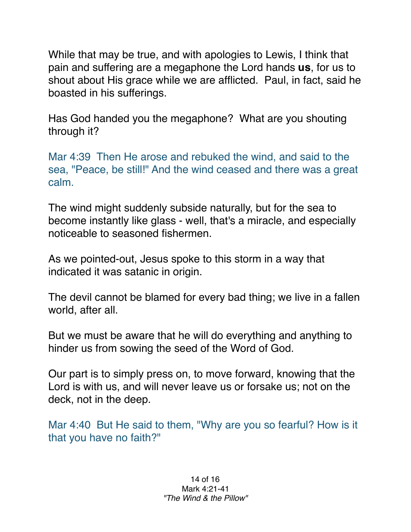While that may be true, and with apologies to Lewis, I think that pain and suffering are a megaphone the Lord hands **us**, for us to shout about His grace while we are afflicted. Paul, in fact, said he boasted in his sufferings.

Has God handed you the megaphone? What are you shouting through it?

Mar 4:39 Then He arose and rebuked the wind, and said to the sea, "Peace, be still!" And the wind ceased and there was a great calm.

The wind might suddenly subside naturally, but for the sea to become instantly like glass - well, that's a miracle, and especially noticeable to seasoned fishermen.

As we pointed-out, Jesus spoke to this storm in a way that indicated it was satanic in origin.

The devil cannot be blamed for every bad thing; we live in a fallen world, after all.

But we must be aware that he will do everything and anything to hinder us from sowing the seed of the Word of God.

Our part is to simply press on, to move forward, knowing that the Lord is with us, and will never leave us or forsake us; not on the deck, not in the deep.

Mar 4:40 But He said to them, "Why are you so fearful? How is it that you have no faith?"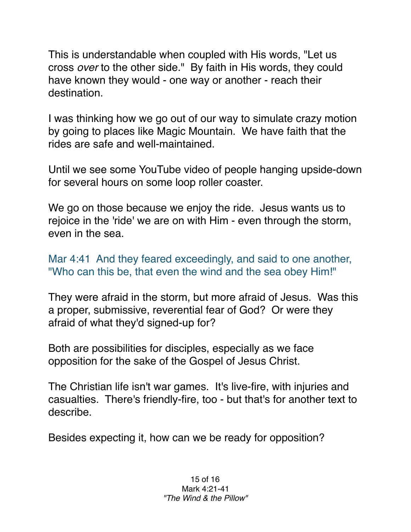This is understandable when coupled with His words, "Let us cross *over* to the other side." By faith in His words, they could have known they would - one way or another - reach their destination.

I was thinking how we go out of our way to simulate crazy motion by going to places like Magic Mountain. We have faith that the rides are safe and well-maintained.

Until we see some YouTube video of people hanging upside-down for several hours on some loop roller coaster.

We go on those because we enjoy the ride. Jesus wants us to rejoice in the 'ride' we are on with Him - even through the storm, even in the sea.

Mar 4:41 And they feared exceedingly, and said to one another, "Who can this be, that even the wind and the sea obey Him!"

They were afraid in the storm, but more afraid of Jesus. Was this a proper, submissive, reverential fear of God? Or were they afraid of what they'd signed-up for?

Both are possibilities for disciples, especially as we face opposition for the sake of the Gospel of Jesus Christ.

The Christian life isn't war games. It's live-fire, with injuries and casualties. There's friendly-fire, too - but that's for another text to describe.

Besides expecting it, how can we be ready for opposition?